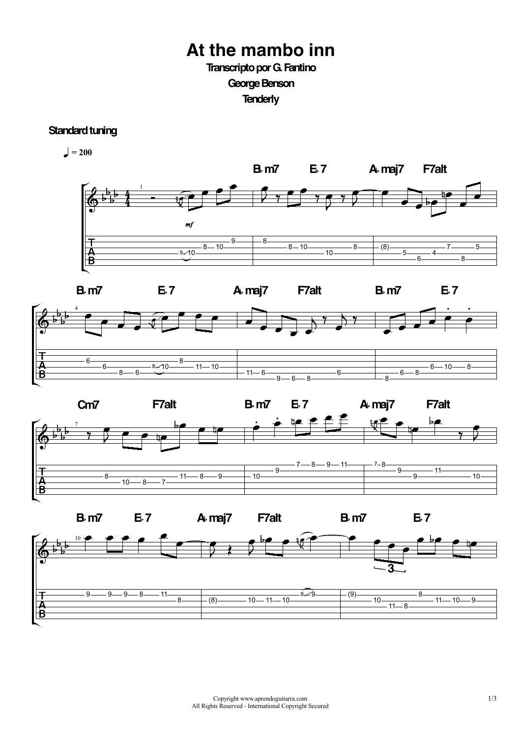## **At the mambo inn Transcripto por G. Fantino**

George Benson

**Tenderly**

## **Standard tuning**







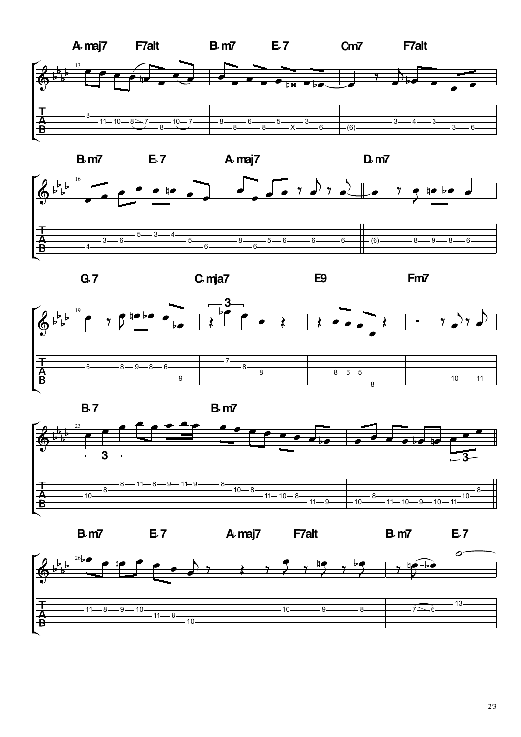